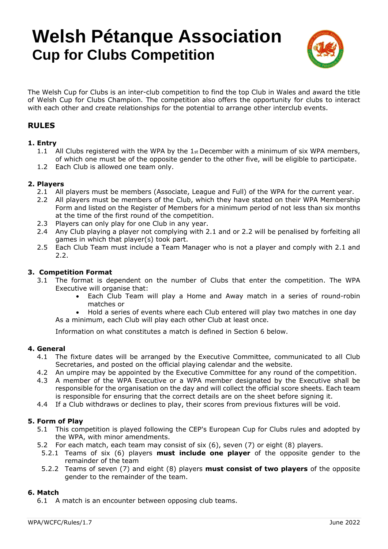# **Welsh Pétanque Association Cup for Clubs Competition**



The Welsh Cup for Clubs is an inter-club competition to find the top Club in Wales and award the title of Welsh Cup for Clubs Champion. The competition also offers the opportunity for clubs to interact with each other and create relationships for the potential to arrange other interclub events.

## **RULES**

## **1. Entry**

- 1.1 All Clubs registered with the WPA by the  $1st$  December with a minimum of six WPA members, of which one must be of the opposite gender to the other five, will be eligible to participate.
- 1.2 Each Club is allowed one team only.

#### **2. Players**

- 2.1 All players must be members (Associate, League and Full) of the WPA for the current year.
- 2.2 All players must be members of the Club, which they have stated on their WPA Membership Form and listed on the Register of Members for a minimum period of not less than six months at the time of the first round of the competition.
- 2.3 Players can only play for one Club in any year.
- 2.4 Any Club playing a player not complying with 2.1 and or 2.2 will be penalised by forfeiting all games in which that player(s) took part.
- 2.5 Each Club Team must include a Team Manager who is not a player and comply with 2.1 and 2.2.

#### **3. Competition Format**

- 3.1 The format is dependent on the number of Clubs that enter the competition. The WPA Executive will organise that:
	- Each Club Team will play a Home and Away match in a series of round-robin matches or

• Hold a series of events where each Club entered will play two matches in one day As a minimum, each Club will play each other Club at least once.

Information on what constitutes a match is defined in Section 6 below.

#### **4. General**

- 4.1 The fixture dates will be arranged by the Executive Committee, communicated to all Club Secretaries, and posted on the official playing calendar and the website.
- 4.2 An umpire may be appointed by the Executive Committee for any round of the competition.
- 4.3 A member of the WPA Executive or a WPA member designated by the Executive shall be responsible for the organisation on the day and will collect the official score sheets. Each team is responsible for ensuring that the correct details are on the sheet before signing it.
- 4.4 If a Club withdraws or declines to play, their scores from previous fixtures will be void.

#### **5. Form of Play**

- 5.1 This competition is played following the CEP's European Cup for Clubs rules and adopted by the WPA, with minor amendments.
- 5.2 For each match, each team may consist of six (6), seven (7) or eight (8) players.
- 5.2.1 Teams of six (6) players **must include one player** of the opposite gender to the remainder of the team
- 5.2.2 Teams of seven (7) and eight (8) players **must consist of two players** of the opposite gender to the remainder of the team.

#### **6. Match**

6.1 A match is an encounter between opposing club teams.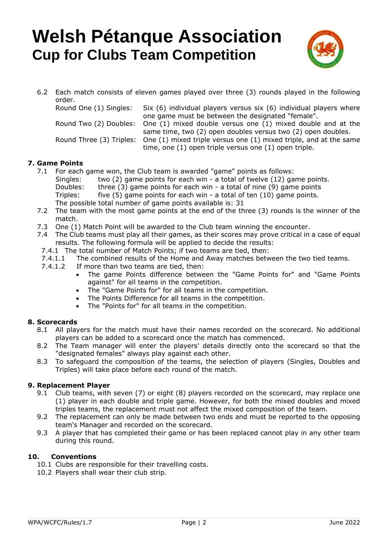# **Welsh Pétanque Association Cup for Clubs Team Competition**



6.2 Each match consists of eleven games played over three (3) rounds played in the following order. Round One (1) Singles: Six (6) individual players versus six (6) individual players where

one game must be between the designated "female". Round Two (2) Doubles: One (1) mixed double versus one (1) mixed double and at the

same time, two (2) open doubles versus two (2) open doubles. Round Three (3) Triples: One (1) mixed triple versus one (1) mixed triple, and at the same time, one (1) open triple versus one (1) open triple.

## **7. Game Points**

- 7.1 For each game won, the Club team is awarded "game" points as follows: Singles: two (2) game points for each win - a total of twelve (12) game points. Doubles: three (3) game points for each win - a total of nine (9) game points Triples: five (5) game points for each win - a total of ten (10) game points. The possible total number of game points available is: 31
- 7.2 The team with the most game points at the end of the three (3) rounds is the winner of the match.
- 7.3 One (1) Match Point will be awarded to the Club team winning the encounter.
- 7.4 The Club teams must play all their games, as their scores may prove critical in a case of equal results. The following formula will be applied to decide the results:
- 7.4.1 The total number of Match Points; if two teams are tied, then:
- 7.4.1.1 The combined results of the Home and Away matches between the two tied teams.
- 7.4.1.2 If more than two teams are tied, then:
	- The game Points difference between the "Game Points for" and "Game Points against" for all teams in the competition.
	- The "Game Points for" for all teams in the competition.
	- The Points Difference for all teams in the competition.
	- The "Points for" for all teams in the competition.

## **8. Scorecards**

- 8.1 All players for the match must have their names recorded on the scorecard. No additional players can be added to a scorecard once the match has commenced.
- 8.2 The Team manager will enter the players' details directly onto the scorecard so that the "designated females" always play against each other.
- 8.3 To safeguard the composition of the teams, the selection of players (Singles, Doubles and Triples) will take place before each round of the match.

## **9. Replacement Player**

- 9.1 Club teams, with seven (7) or eight (8) players recorded on the scorecard, may replace one (1) player in each double and triple game. However, for both the mixed doubles and mixed triples teams, the replacement must not affect the mixed composition of the team.
- 9.2 The replacement can only be made between two ends and must be reported to the opposing team's Manager and recorded on the scorecard.
- 9.3 A player that has completed their game or has been replaced cannot play in any other team during this round.

## **10. Conventions**

- 10.1 Clubs are responsible for their travelling costs.
- 10.2 Players shall wear their club strip.